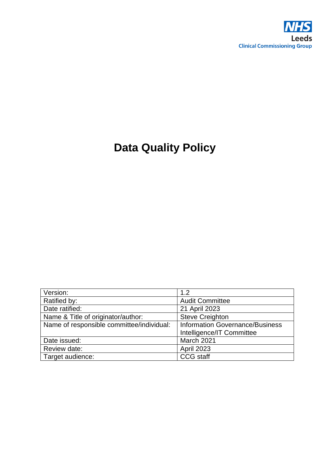

# **Data Quality Policy**

| Version:                                  | 1.2                                    |
|-------------------------------------------|----------------------------------------|
| Ratified by:                              | <b>Audit Committee</b>                 |
| Date ratified:                            | 21 April 2023                          |
| Name & Title of originator/author:        | <b>Steve Creighton</b>                 |
| Name of responsible committee/individual: | <b>Information Governance/Business</b> |
|                                           | Intelligence/IT Committee              |
| Date issued:                              | March 2021                             |
| Review date:                              | <b>April 2023</b>                      |
| Target audience:                          | <b>CCG</b> staff                       |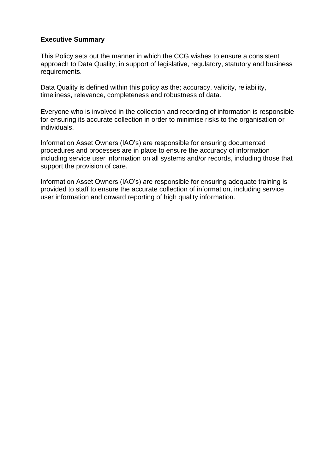#### **Executive Summary**

This Policy sets out the manner in which the CCG wishes to ensure a consistent approach to Data Quality, in support of legislative, regulatory, statutory and business requirements.

Data Quality is defined within this policy as the; accuracy, validity, reliability, timeliness, relevance, completeness and robustness of data.

Everyone who is involved in the collection and recording of information is responsible for ensuring its accurate collection in order to minimise risks to the organisation or individuals.

Information Asset Owners (IAO's) are responsible for ensuring documented procedures and processes are in place to ensure the accuracy of information including service user information on all systems and/or records, including those that support the provision of care.

Information Asset Owners (IAO's) are responsible for ensuring adequate training is provided to staff to ensure the accurate collection of information, including service user information and onward reporting of high quality information.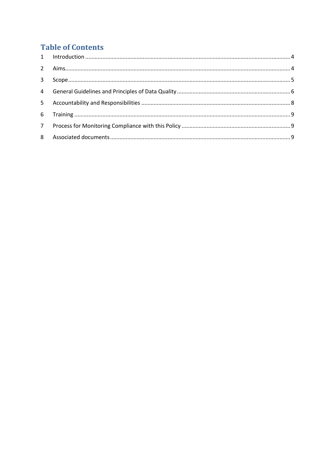## **Table of Contents**

| $\mathbf{3}$ |  |
|--------------|--|
|              |  |
|              |  |
|              |  |
|              |  |
|              |  |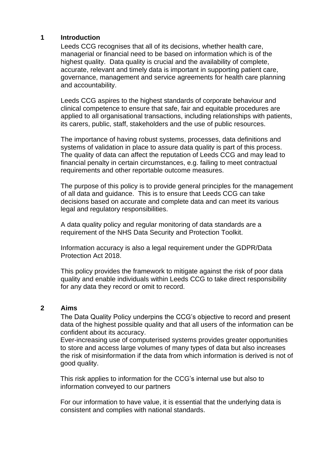#### <span id="page-3-0"></span>**1 Introduction**

Leeds CCG recognises that all of its decisions, whether health care, managerial or financial need to be based on information which is of the highest quality. Data quality is crucial and the availability of complete, accurate, relevant and timely data is important in supporting patient care, governance, management and service agreements for health care planning and accountability.

Leeds CCG aspires to the highest standards of corporate behaviour and clinical competence to ensure that safe, fair and equitable procedures are applied to all organisational transactions, including relationships with patients, its carers, public, staff, stakeholders and the use of public resources.

The importance of having robust systems, processes, data definitions and systems of validation in place to assure data quality is part of this process. The quality of data can affect the reputation of Leeds CCG and may lead to financial penalty in certain circumstances, e.g. failing to meet contractual requirements and other reportable outcome measures.

The purpose of this policy is to provide general principles for the management of all data and guidance. This is to ensure that Leeds CCG can take decisions based on accurate and complete data and can meet its various legal and regulatory responsibilities.

A data quality policy and regular monitoring of data standards are a requirement of the NHS Data Security and Protection Toolkit.

Information accuracy is also a legal requirement under the GDPR/Data Protection Act 2018.

This policy provides the framework to mitigate against the risk of poor data quality and enable individuals within Leeds CCG to take direct responsibility for any data they record or omit to record.

#### <span id="page-3-1"></span>**2 Aims**

The Data Quality Policy underpins the CCG's objective to record and present data of the highest possible quality and that all users of the information can be confident about its accuracy.

Ever-increasing use of computerised systems provides greater opportunities to store and access large volumes of many types of data but also increases the risk of misinformation if the data from which information is derived is not of good quality.

This risk applies to information for the CCG's internal use but also to information conveyed to our partners

For our information to have value, it is essential that the underlying data is consistent and complies with national standards.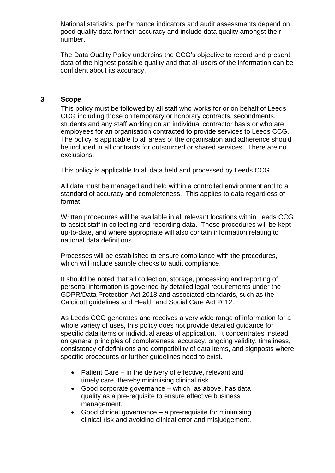National statistics, performance indicators and audit assessments depend on good quality data for their accuracy and include data quality amongst their number.

The Data Quality Policy underpins the CCG's objective to record and present data of the highest possible quality and that all users of the information can be confident about its accuracy.

#### <span id="page-4-0"></span>**3 Scope**

This policy must be followed by all staff who works for or on behalf of Leeds CCG including those on temporary or honorary contracts, secondments, students and any staff working on an individual contractor basis or who are employees for an organisation contracted to provide services to Leeds CCG. The policy is applicable to all areas of the organisation and adherence should be included in all contracts for outsourced or shared services. There are no exclusions.

This policy is applicable to all data held and processed by Leeds CCG.

All data must be managed and held within a controlled environment and to a standard of accuracy and completeness. This applies to data regardless of format.

Written procedures will be available in all relevant locations within Leeds CCG to assist staff in collecting and recording data. These procedures will be kept up-to-date, and where appropriate will also contain information relating to national data definitions.

Processes will be established to ensure compliance with the procedures, which will include sample checks to audit compliance.

It should be noted that all collection, storage, processing and reporting of personal information is governed by detailed legal requirements under the GDPR/Data Protection Act 2018 and associated standards, such as the Caldicott guidelines and Health and Social Care Act 2012.

As Leeds CCG generates and receives a very wide range of information for a whole variety of uses, this policy does not provide detailed guidance for specific data items or individual areas of application. It concentrates instead on general principles of completeness, accuracy, ongoing validity, timeliness, consistency of definitions and compatibility of data items, and signposts where specific procedures or further guidelines need to exist.

- Patient Care in the delivery of effective, relevant and timely care, thereby minimising clinical risk.
- Good corporate governance which, as above, has data quality as a pre-requisite to ensure effective business management.
- Good clinical governance a pre-requisite for minimising clinical risk and avoiding clinical error and misjudgement.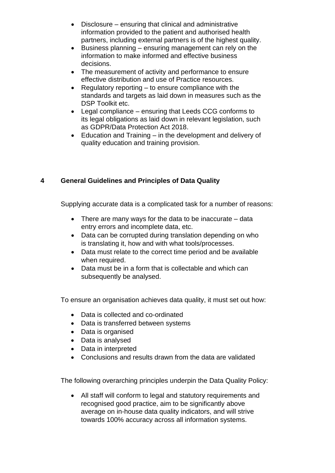- Disclosure ensuring that clinical and administrative information provided to the patient and authorised health partners, including external partners is of the highest quality.
- Business planning ensuring management can rely on the information to make informed and effective business decisions.
- The measurement of activity and performance to ensure effective distribution and use of Practice resources.
- Regulatory reporting to ensure compliance with the standards and targets as laid down in measures such as the DSP Toolkit etc.
- Legal compliance ensuring that Leeds CCG conforms to its legal obligations as laid down in relevant legislation, such as GDPR/Data Protection Act 2018.
- Education and Training in the development and delivery of quality education and training provision.

## <span id="page-5-0"></span>**4 General Guidelines and Principles of Data Quality**

Supplying accurate data is a complicated task for a number of reasons:

- There are many ways for the data to be inaccurate data entry errors and incomplete data, etc.
- Data can be corrupted during translation depending on who is translating it, how and with what tools/processes.
- Data must relate to the correct time period and be available when required.
- Data must be in a form that is collectable and which can subsequently be analysed.

To ensure an organisation achieves data quality, it must set out how:

- Data is collected and co-ordinated
- Data is transferred between systems
- Data is organised
- Data is analysed
- Data in interpreted
- Conclusions and results drawn from the data are validated

The following overarching principles underpin the Data Quality Policy:

• All staff will conform to legal and statutory requirements and recognised good practice, aim to be significantly above average on in-house data quality indicators, and will strive towards 100% accuracy across all information systems.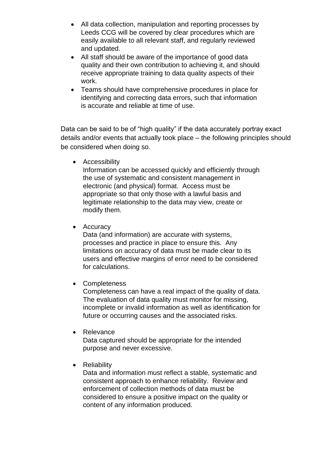- All data collection, manipulation and reporting processes by Leeds CCG will be covered by clear procedures which are easily available to all relevant staff, and regularly reviewed and updated.
- All staff should be aware of the importance of good data quality and their own contribution to achieving it, and should receive appropriate training to data quality aspects of their work.
- Teams should have comprehensive procedures in place for identifying and correcting data errors, such that information is accurate and reliable at time of use.

Data can be said to be of "high quality" if the data accurately portray exact details and/or events that actually took place – the following principles should be considered when doing so.

• Accessibility

Information can be accessed quickly and efficiently through the use of systematic and consistent management in electronic (and physical) format. Access must be appropriate so that only those with a lawful basis and legitimate relationship to the data may view, create or modify them.

• Accuracy

Data (and information) are accurate with systems, processes and practice in place to ensure this. Any limitations on accuracy of data must be made clear to its users and effective margins of error need to be considered for calculations.

• Completeness

Completeness can have a real impact of the quality of data. The evaluation of data quality must monitor for missing, incomplete or invalid information as well as identification for future or occurring causes and the associated risks.

• Relevance

Data captured should be appropriate for the intended purpose and never excessive.

## • Reliability

Data and information must reflect a stable, systematic and consistent approach to enhance reliability. Review and enforcement of collection methods of data must be considered to ensure a positive impact on the quality or content of any information produced.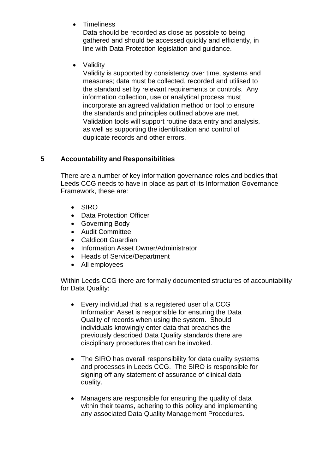**Timeliness** 

Data should be recorded as close as possible to being gathered and should be accessed quickly and efficiently, in line with Data Protection legislation and guidance.

• Validity

Validity is supported by consistency over time, systems and measures; data must be collected, recorded and utilised to the standard set by relevant requirements or controls. Any information collection, use or analytical process must incorporate an agreed validation method or tool to ensure the standards and principles outlined above are met. Validation tools will support routine data entry and analysis, as well as supporting the identification and control of duplicate records and other errors.

## <span id="page-7-0"></span>**5 Accountability and Responsibilities**

There are a number of key information governance roles and bodies that Leeds CCG needs to have in place as part of its Information Governance Framework, these are:

- SIRO
- Data Protection Officer
- Governing Body
- Audit Committee
- Caldicott Guardian
- Information Asset Owner/Administrator
- Heads of Service/Department
- All employees

Within Leeds CCG there are formally documented structures of accountability for Data Quality:

- Every individual that is a registered user of a CCG Information Asset is responsible for ensuring the Data Quality of records when using the system. Should individuals knowingly enter data that breaches the previously described Data Quality standards there are disciplinary procedures that can be invoked.
- The SIRO has overall responsibility for data quality systems and processes in Leeds CCG. The SIRO is responsible for signing off any statement of assurance of clinical data quality.
- Managers are responsible for ensuring the quality of data within their teams, adhering to this policy and implementing any associated Data Quality Management Procedures.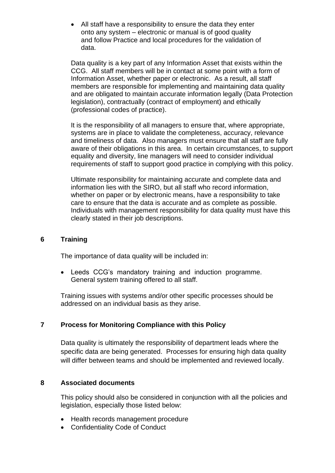• All staff have a responsibility to ensure the data they enter onto any system – electronic or manual is of good quality and follow Practice and local procedures for the validation of data.

Data quality is a key part of any Information Asset that exists within the CCG. All staff members will be in contact at some point with a form of Information Asset, whether paper or electronic. As a result, all staff members are responsible for implementing and maintaining data quality and are obligated to maintain accurate information legally (Data Protection legislation), contractually (contract of employment) and ethically (professional codes of practice).

It is the responsibility of all managers to ensure that, where appropriate, systems are in place to validate the completeness, accuracy, relevance and timeliness of data. Also managers must ensure that all staff are fully aware of their obligations in this area. In certain circumstances, to support equality and diversity, line managers will need to consider individual requirements of staff to support good practice in complying with this policy.

Ultimate responsibility for maintaining accurate and complete data and information lies with the SIRO, but all staff who record information, whether on paper or by electronic means, have a responsibility to take care to ensure that the data is accurate and as complete as possible. Individuals with management responsibility for data quality must have this clearly stated in their job descriptions.

### <span id="page-8-0"></span>**6 Training**

The importance of data quality will be included in:

• Leeds CCG's mandatory training and induction programme. General system training offered to all staff.

Training issues with systems and/or other specific processes should be addressed on an individual basis as they arise.

## <span id="page-8-1"></span>**7 Process for Monitoring Compliance with this Policy**

Data quality is ultimately the responsibility of department leads where the specific data are being generated. Processes for ensuring high data quality will differ between teams and should be implemented and reviewed locally.

#### <span id="page-8-2"></span>**8 Associated documents**

This policy should also be considered in conjunction with all the policies and legislation, especially those listed below:

- Health records management procedure
- Confidentiality Code of Conduct